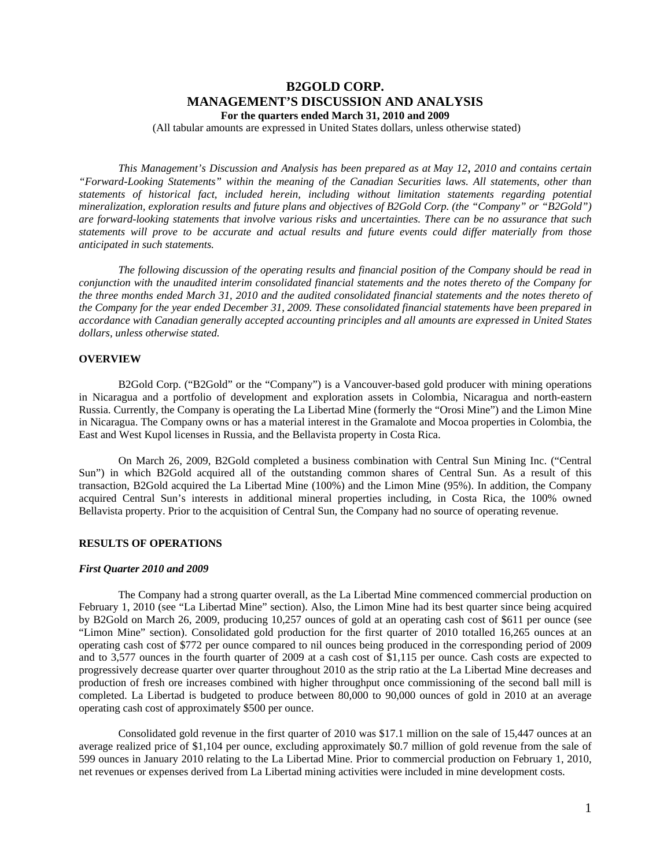# **B2GOLD CORP. MANAGEMENT'S DISCUSSION AND ANALYSIS For the quarters ended March 31, 2010 and 2009**

(All tabular amounts are expressed in United States dollars, unless otherwise stated)

*This Management's Discussion and Analysis has been prepared as at May 12*, *2010 and contains certain "Forward-Looking Statements" within the meaning of the Canadian Securities laws. All statements, other than statements of historical fact, included herein, including without limitation statements regarding potential mineralization, exploration results and future plans and objectives of B2Gold Corp. (the "Company" or "B2Gold") are forward-looking statements that involve various risks and uncertainties. There can be no assurance that such statements will prove to be accurate and actual results and future events could differ materially from those anticipated in such statements.* 

*The following discussion of the operating results and financial position of the Company should be read in conjunction with the unaudited interim consolidated financial statements and the notes thereto of the Company for the three months ended March 31, 2010 and the audited consolidated financial statements and the notes thereto of the Company for the year ended December 31, 2009. These consolidated financial statements have been prepared in accordance with Canadian generally accepted accounting principles and all amounts are expressed in United States dollars, unless otherwise stated.* 

### **OVERVIEW**

B2Gold Corp. ("B2Gold" or the "Company") is a Vancouver-based gold producer with mining operations in Nicaragua and a portfolio of development and exploration assets in Colombia, Nicaragua and north-eastern Russia. Currently, the Company is operating the La Libertad Mine (formerly the "Orosi Mine") and the Limon Mine in Nicaragua. The Company owns or has a material interest in the Gramalote and Mocoa properties in Colombia, the East and West Kupol licenses in Russia, and the Bellavista property in Costa Rica.

On March 26, 2009, B2Gold completed a business combination with Central Sun Mining Inc. ("Central Sun") in which B2Gold acquired all of the outstanding common shares of Central Sun. As a result of this transaction, B2Gold acquired the La Libertad Mine (100%) and the Limon Mine (95%). In addition, the Company acquired Central Sun's interests in additional mineral properties including, in Costa Rica, the 100% owned Bellavista property. Prior to the acquisition of Central Sun, the Company had no source of operating revenue.

# **RESULTS OF OPERATIONS**

#### *First Quarter 2010 and 2009*

The Company had a strong quarter overall, as the La Libertad Mine commenced commercial production on February 1, 2010 (see "La Libertad Mine" section). Also, the Limon Mine had its best quarter since being acquired by B2Gold on March 26, 2009, producing 10,257 ounces of gold at an operating cash cost of \$611 per ounce (see "Limon Mine" section). Consolidated gold production for the first quarter of 2010 totalled 16,265 ounces at an operating cash cost of \$772 per ounce compared to nil ounces being produced in the corresponding period of 2009 and to 3,577 ounces in the fourth quarter of 2009 at a cash cost of \$1,115 per ounce. Cash costs are expected to progressively decrease quarter over quarter throughout 2010 as the strip ratio at the La Libertad Mine decreases and production of fresh ore increases combined with higher throughput once commissioning of the second ball mill is completed. La Libertad is budgeted to produce between 80,000 to 90,000 ounces of gold in 2010 at an average operating cash cost of approximately \$500 per ounce.

Consolidated gold revenue in the first quarter of 2010 was \$17.1 million on the sale of 15,447 ounces at an average realized price of \$1,104 per ounce, excluding approximately \$0.7 million of gold revenue from the sale of 599 ounces in January 2010 relating to the La Libertad Mine. Prior to commercial production on February 1, 2010, net revenues or expenses derived from La Libertad mining activities were included in mine development costs.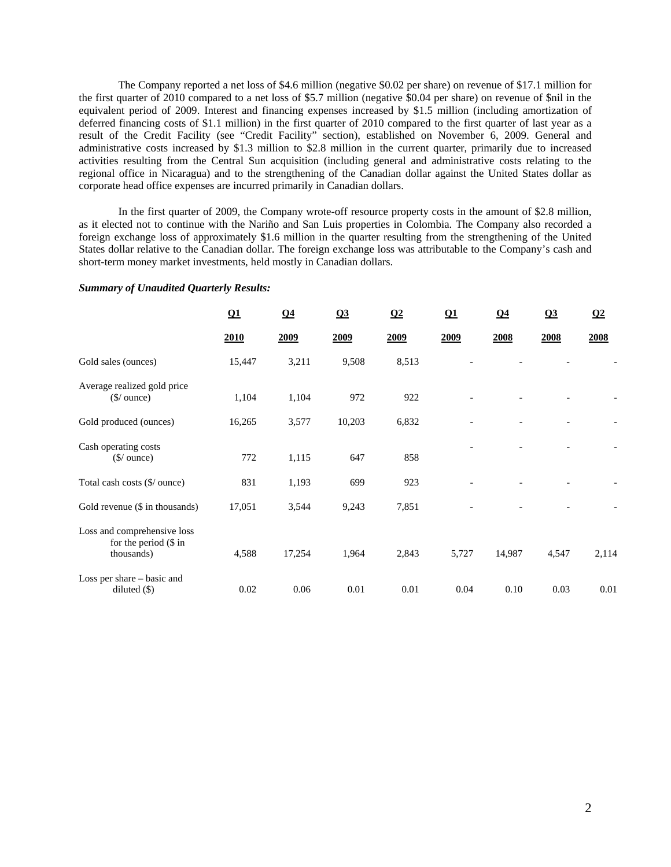The Company reported a net loss of \$4.6 million (negative \$0.02 per share) on revenue of \$17.1 million for the first quarter of 2010 compared to a net loss of \$5.7 million (negative \$0.04 per share) on revenue of \$nil in the equivalent period of 2009. Interest and financing expenses increased by \$1.5 million (including amortization of deferred financing costs of \$1.1 million) in the first quarter of 2010 compared to the first quarter of last year as a result of the Credit Facility (see "Credit Facility" section), established on November 6, 2009. General and administrative costs increased by \$1.3 million to \$2.8 million in the current quarter, primarily due to increased activities resulting from the Central Sun acquisition (including general and administrative costs relating to the regional office in Nicaragua) and to the strengthening of the Canadian dollar against the United States dollar as corporate head office expenses are incurred primarily in Canadian dollars.

In the first quarter of 2009, the Company wrote-off resource property costs in the amount of \$2.8 million, as it elected not to continue with the Nariño and San Luis properties in Colombia. The Company also recorded a foreign exchange loss of approximately \$1.6 million in the quarter resulting from the strengthening of the United States dollar relative to the Canadian dollar. The foreign exchange loss was attributable to the Company's cash and short-term money market investments, held mostly in Canadian dollars.

### *Summary of Unaudited Quarterly Results:*

|                                                                        | $\Omega$ 1 | Q <sub>4</sub> | Q3     | $\Omega$ | $\Omega$ 1 | Q <sub>4</sub> | Q3    | $\Omega$ |
|------------------------------------------------------------------------|------------|----------------|--------|----------|------------|----------------|-------|----------|
|                                                                        | 2010       | 2009           | 2009   | 2009     | 2009       | 2008           | 2008  | 2008     |
| Gold sales (ounces)                                                    | 15,447     | 3,211          | 9,508  | 8,513    |            |                |       |          |
| Average realized gold price<br>$(\frac{\mathcal{S}}{\omega})$ ounce)   | 1,104      | 1,104          | 972    | 922      |            |                |       |          |
| Gold produced (ounces)                                                 | 16,265     | 3,577          | 10,203 | 6,832    |            |                |       |          |
| Cash operating costs<br>$(\frac{\sqrt{2}}{2})$ ounce)                  | 772        | 1,115          | 647    | 858      |            |                |       |          |
| Total cash costs (\$/ ounce)                                           | 831        | 1,193          | 699    | 923      |            |                |       |          |
| Gold revenue (\$ in thousands)                                         | 17,051     | 3,544          | 9,243  | 7,851    |            |                |       |          |
| Loss and comprehensive loss<br>for the period $(\$\)$ in<br>thousands) | 4,588      | 17,254         | 1,964  | 2,843    | 5,727      | 14,987         | 4,547 | 2,114    |
| Loss per share – basic and<br>diluted $(\$)$                           | 0.02       | 0.06           | 0.01   | 0.01     | 0.04       | 0.10           | 0.03  | 0.01     |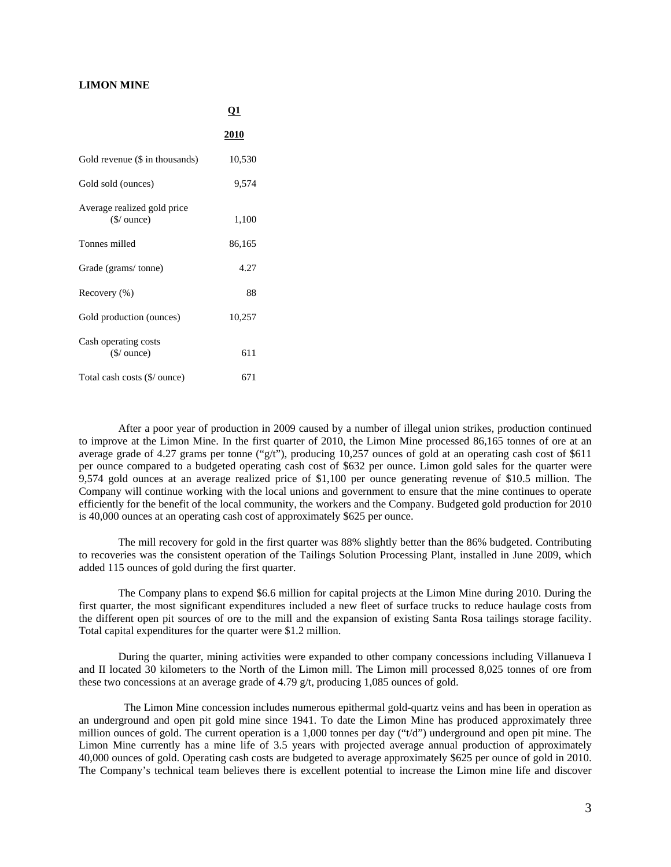# **LIMON MINE**

|                                                       | <u>νı</u>   |  |  |
|-------------------------------------------------------|-------------|--|--|
|                                                       | <b>2010</b> |  |  |
| Gold revenue (\$ in thousands)                        | 10,530      |  |  |
| Gold sold (ounces)                                    | 9,574       |  |  |
| Average realized gold price<br>$(\frac{1}{2})$ ounce) | 1,100       |  |  |
| Tonnes milled                                         | 86,165      |  |  |
| Grade (grams/tonne)                                   | 4.27        |  |  |
| Recovery (%)                                          | 88          |  |  |
| Gold production (ounces)                              | 10,257      |  |  |
| Cash operating costs<br>$$/$ ounce)                   | 611         |  |  |
| Total cash costs (\$/ ounce)                          | 671         |  |  |

 $\Omega$ 

After a poor year of production in 2009 caused by a number of illegal union strikes, production continued to improve at the Limon Mine. In the first quarter of 2010, the Limon Mine processed 86,165 tonnes of ore at an average grade of 4.27 grams per tonne (" $g/t$ "), producing 10,257 ounces of gold at an operating cash cost of \$611 per ounce compared to a budgeted operating cash cost of \$632 per ounce. Limon gold sales for the quarter were 9,574 gold ounces at an average realized price of \$1,100 per ounce generating revenue of \$10.5 million. The Company will continue working with the local unions and government to ensure that the mine continues to operate efficiently for the benefit of the local community, the workers and the Company. Budgeted gold production for 2010 is 40,000 ounces at an operating cash cost of approximately \$625 per ounce.

The mill recovery for gold in the first quarter was 88% slightly better than the 86% budgeted. Contributing to recoveries was the consistent operation of the Tailings Solution Processing Plant, installed in June 2009, which added 115 ounces of gold during the first quarter.

The Company plans to expend \$6.6 million for capital projects at the Limon Mine during 2010. During the first quarter, the most significant expenditures included a new fleet of surface trucks to reduce haulage costs from the different open pit sources of ore to the mill and the expansion of existing Santa Rosa tailings storage facility. Total capital expenditures for the quarter were \$1.2 million.

During the quarter, mining activities were expanded to other company concessions including Villanueva I and II located 30 kilometers to the North of the Limon mill. The Limon mill processed 8,025 tonnes of ore from these two concessions at an average grade of 4.79 g/t, producing 1,085 ounces of gold.

 The Limon Mine concession includes numerous epithermal gold-quartz veins and has been in operation as an underground and open pit gold mine since 1941. To date the Limon Mine has produced approximately three million ounces of gold. The current operation is a 1,000 tonnes per day ("t/d") underground and open pit mine. The Limon Mine currently has a mine life of 3.5 years with projected average annual production of approximately 40,000 ounces of gold. Operating cash costs are budgeted to average approximately \$625 per ounce of gold in 2010. The Company's technical team believes there is excellent potential to increase the Limon mine life and discover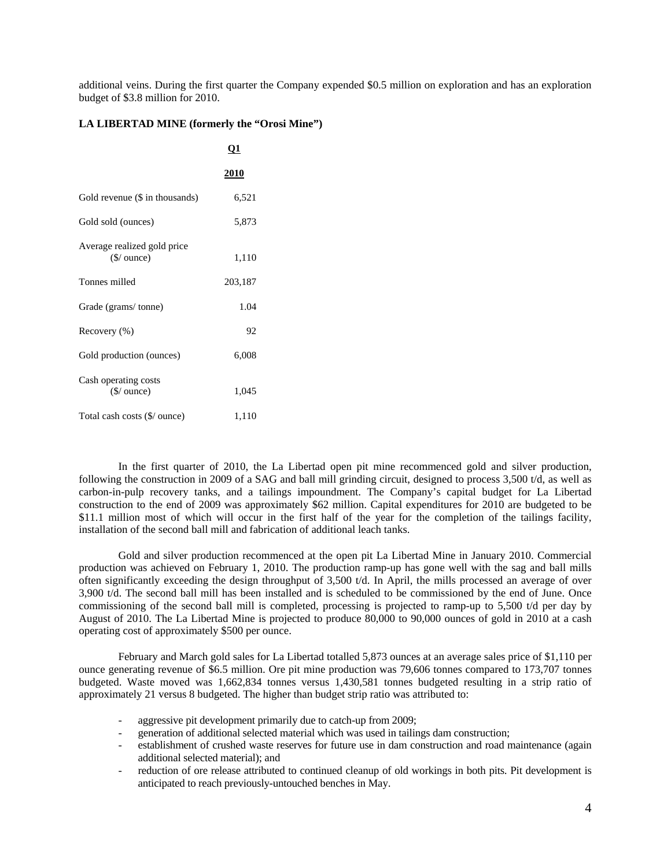additional veins. During the first quarter the Company expended \$0.5 million on exploration and has an exploration budget of \$3.8 million for 2010.

# **LA LIBERTAD MINE (formerly the "Orosi Mine")**

|                                                       | <u>01</u>   |
|-------------------------------------------------------|-------------|
|                                                       | <u>2010</u> |
| Gold revenue (\$ in thousands)                        | 6,521       |
| Gold sold (ounces)                                    | 5,873       |
| Average realized gold price<br>$(\frac{1}{2})$ ounce) | 1,110       |
| Tonnes milled                                         | 203,187     |
| Grade (grams/tonne)                                   | 1.04        |
| Recovery (%)                                          | 92          |
| Gold production (ounces)                              | 6,008       |
| Cash operating costs<br>$$/$ ounce)                   | 1,045       |
| Total cash costs (\$/ ounce)                          | 1,110       |

In the first quarter of 2010, the La Libertad open pit mine recommenced gold and silver production, following the construction in 2009 of a SAG and ball mill grinding circuit, designed to process 3,500 t/d, as well as carbon-in-pulp recovery tanks, and a tailings impoundment. The Company's capital budget for La Libertad construction to the end of 2009 was approximately \$62 million. Capital expenditures for 2010 are budgeted to be \$11.1 million most of which will occur in the first half of the year for the completion of the tailings facility, installation of the second ball mill and fabrication of additional leach tanks.

Gold and silver production recommenced at the open pit La Libertad Mine in January 2010. Commercial production was achieved on February 1, 2010. The production ramp-up has gone well with the sag and ball mills often significantly exceeding the design throughput of 3,500 t/d. In April, the mills processed an average of over 3,900 t/d. The second ball mill has been installed and is scheduled to be commissioned by the end of June. Once commissioning of the second ball mill is completed, processing is projected to ramp-up to 5,500 t/d per day by August of 2010. The La Libertad Mine is projected to produce 80,000 to 90,000 ounces of gold in 2010 at a cash operating cost of approximately \$500 per ounce.

February and March gold sales for La Libertad totalled 5,873 ounces at an average sales price of \$1,110 per ounce generating revenue of \$6.5 million. Ore pit mine production was 79,606 tonnes compared to 173,707 tonnes budgeted. Waste moved was 1,662,834 tonnes versus 1,430,581 tonnes budgeted resulting in a strip ratio of approximately 21 versus 8 budgeted. The higher than budget strip ratio was attributed to:

- aggressive pit development primarily due to catch-up from 2009;
- generation of additional selected material which was used in tailings dam construction;
- establishment of crushed waste reserves for future use in dam construction and road maintenance (again additional selected material); and
- reduction of ore release attributed to continued cleanup of old workings in both pits. Pit development is anticipated to reach previously-untouched benches in May.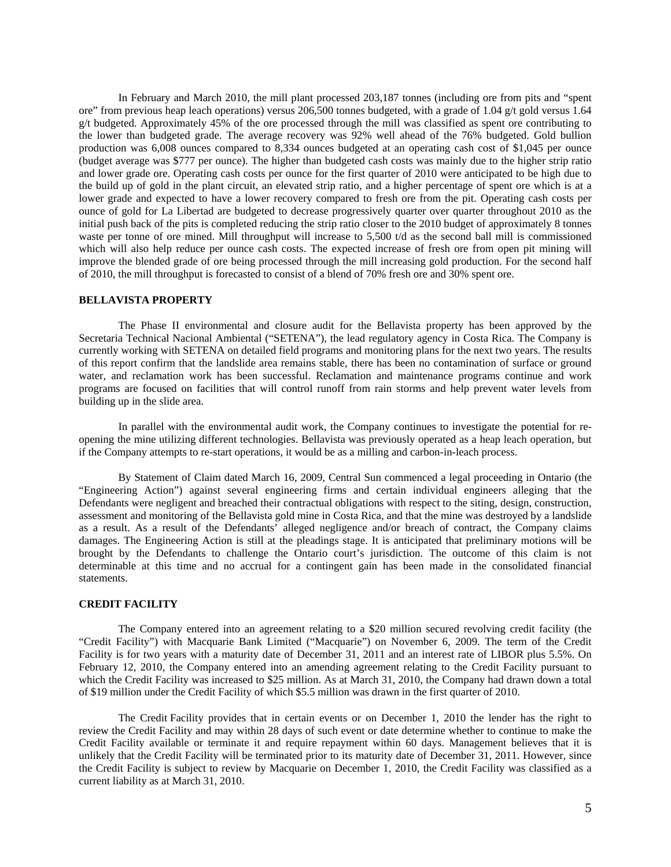In February and March 2010, the mill plant processed 203,187 tonnes (including ore from pits and "spent ore" from previous heap leach operations) versus 206,500 tonnes budgeted, with a grade of 1.04 g/t gold versus 1.64 g/t budgeted. Approximately 45% of the ore processed through the mill was classified as spent ore contributing to the lower than budgeted grade. The average recovery was 92% well ahead of the 76% budgeted. Gold bullion production was 6,008 ounces compared to 8,334 ounces budgeted at an operating cash cost of \$1,045 per ounce (budget average was \$777 per ounce). The higher than budgeted cash costs was mainly due to the higher strip ratio and lower grade ore. Operating cash costs per ounce for the first quarter of 2010 were anticipated to be high due to the build up of gold in the plant circuit, an elevated strip ratio, and a higher percentage of spent ore which is at a lower grade and expected to have a lower recovery compared to fresh ore from the pit. Operating cash costs per ounce of gold for La Libertad are budgeted to decrease progressively quarter over quarter throughout 2010 as the initial push back of the pits is completed reducing the strip ratio closer to the 2010 budget of approximately 8 tonnes waste per tonne of ore mined. Mill throughput will increase to 5,500 t/d as the second ball mill is commissioned which will also help reduce per ounce cash costs. The expected increase of fresh ore from open pit mining will improve the blended grade of ore being processed through the mill increasing gold production. For the second half of 2010, the mill throughput is forecasted to consist of a blend of 70% fresh ore and 30% spent ore.

### **BELLAVISTA PROPERTY**

The Phase II environmental and closure audit for the Bellavista property has been approved by the Secretaria Technical Nacional Ambiental ("SETENA"), the lead regulatory agency in Costa Rica. The Company is currently working with SETENA on detailed field programs and monitoring plans for the next two years. The results of this report confirm that the landslide area remains stable, there has been no contamination of surface or ground water, and reclamation work has been successful. Reclamation and maintenance programs continue and work programs are focused on facilities that will control runoff from rain storms and help prevent water levels from building up in the slide area.

In parallel with the environmental audit work, the Company continues to investigate the potential for reopening the mine utilizing different technologies. Bellavista was previously operated as a heap leach operation, but if the Company attempts to re-start operations, it would be as a milling and carbon-in-leach process.

By Statement of Claim dated March 16, 2009, Central Sun commenced a legal proceeding in Ontario (the "Engineering Action") against several engineering firms and certain individual engineers alleging that the Defendants were negligent and breached their contractual obligations with respect to the siting, design, construction, assessment and monitoring of the Bellavista gold mine in Costa Rica, and that the mine was destroyed by a landslide as a result. As a result of the Defendants' alleged negligence and/or breach of contract, the Company claims damages. The Engineering Action is still at the pleadings stage. It is anticipated that preliminary motions will be brought by the Defendants to challenge the Ontario court's jurisdiction. The outcome of this claim is not determinable at this time and no accrual for a contingent gain has been made in the consolidated financial statements.

#### **CREDIT FACILITY**

The Company entered into an agreement relating to a \$20 million secured revolving credit facility (the "Credit Facility") with Macquarie Bank Limited ("Macquarie") on November 6, 2009. The term of the Credit Facility is for two years with a maturity date of December 31, 2011 and an interest rate of LIBOR plus 5.5%. On February 12, 2010, the Company entered into an amending agreement relating to the Credit Facility pursuant to which the Credit Facility was increased to \$25 million. As at March 31, 2010, the Company had drawn down a total of \$19 million under the Credit Facility of which \$5.5 million was drawn in the first quarter of 2010.

The Credit Facility provides that in certain events or on December 1, 2010 the lender has the right to review the Credit Facility and may within 28 days of such event or date determine whether to continue to make the Credit Facility available or terminate it and require repayment within 60 days. Management believes that it is unlikely that the Credit Facility will be terminated prior to its maturity date of December 31, 2011. However, since the Credit Facility is subject to review by Macquarie on December 1, 2010, the Credit Facility was classified as a current liability as at March 31, 2010.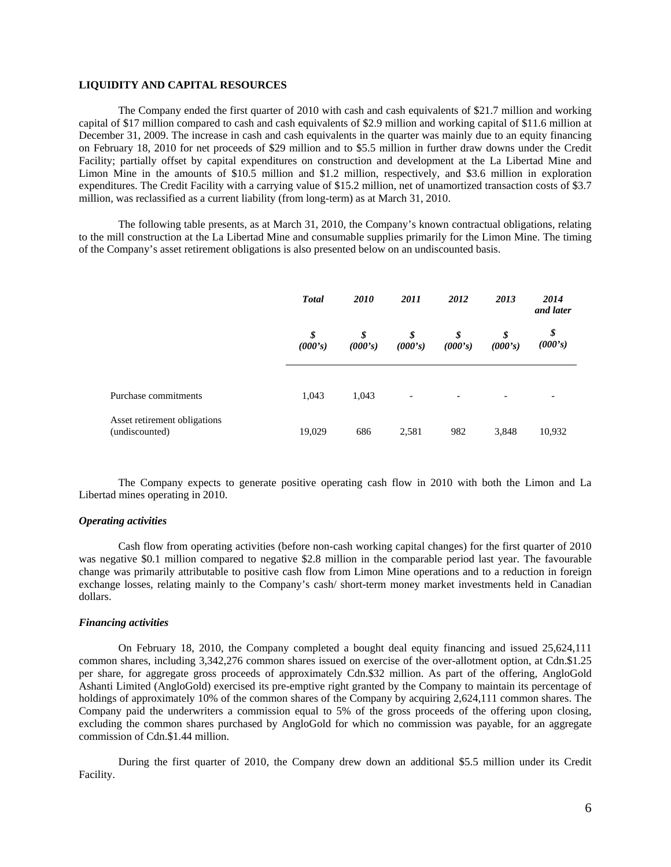# **LIQUIDITY AND CAPITAL RESOURCES**

The Company ended the first quarter of 2010 with cash and cash equivalents of \$21.7 million and working capital of \$17 million compared to cash and cash equivalents of \$2.9 million and working capital of \$11.6 million at December 31, 2009. The increase in cash and cash equivalents in the quarter was mainly due to an equity financing on February 18, 2010 for net proceeds of \$29 million and to \$5.5 million in further draw downs under the Credit Facility; partially offset by capital expenditures on construction and development at the La Libertad Mine and Limon Mine in the amounts of \$10.5 million and \$1.2 million, respectively, and \$3.6 million in exploration expenditures. The Credit Facility with a carrying value of \$15.2 million, net of unamortized transaction costs of \$3.7 million, was reclassified as a current liability (from long-term) as at March 31, 2010.

The following table presents, as at March 31, 2010, the Company's known contractual obligations, relating to the mill construction at the La Libertad Mine and consumable supplies primarily for the Limon Mine. The timing of the Company's asset retirement obligations is also presented below on an undiscounted basis.

|                                                | <b>Total</b>  | <i>2010</i>   | 2011          | 2012          | 2013                     | 2014<br>and later |
|------------------------------------------------|---------------|---------------|---------------|---------------|--------------------------|-------------------|
|                                                | \$<br>(000's) | \$<br>(000's) | \$<br>(000's) | \$<br>(000's) | \$<br>(000's)            | \$<br>(000's)     |
| Purchase commitments                           | 1,043         | 1,043         | -             | -             | $\overline{\phantom{a}}$ |                   |
| Asset retirement obligations<br>(undiscounted) | 19,029        | 686           | 2,581         | 982           | 3,848                    | 10,932            |

The Company expects to generate positive operating cash flow in 2010 with both the Limon and La Libertad mines operating in 2010.

# *Operating activities*

Cash flow from operating activities (before non-cash working capital changes) for the first quarter of 2010 was negative \$0.1 million compared to negative \$2.8 million in the comparable period last year. The favourable change was primarily attributable to positive cash flow from Limon Mine operations and to a reduction in foreign exchange losses, relating mainly to the Company's cash/ short-term money market investments held in Canadian dollars.

#### *Financing activities*

On February 18, 2010, the Company completed a bought deal equity financing and issued 25,624,111 common shares, including 3,342,276 common shares issued on exercise of the over-allotment option, at Cdn.\$1.25 per share, for aggregate gross proceeds of approximately Cdn.\$32 million. As part of the offering, AngloGold Ashanti Limited (AngloGold) exercised its pre-emptive right granted by the Company to maintain its percentage of holdings of approximately 10% of the common shares of the Company by acquiring 2,624,111 common shares. The Company paid the underwriters a commission equal to 5% of the gross proceeds of the offering upon closing, excluding the common shares purchased by AngloGold for which no commission was payable, for an aggregate commission of Cdn.\$1.44 million.

During the first quarter of 2010, the Company drew down an additional \$5.5 million under its Credit Facility.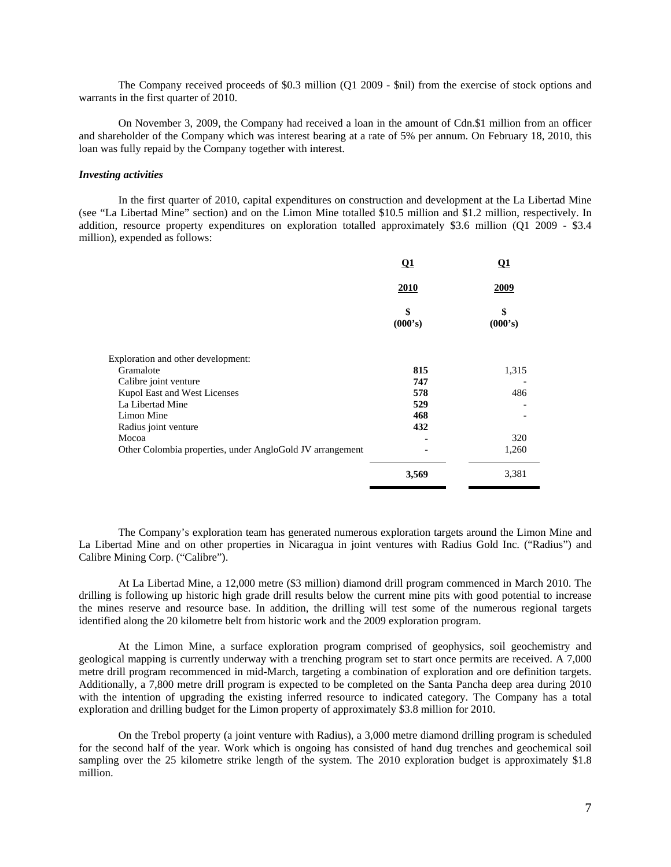The Company received proceeds of \$0.3 million (Q1 2009 - \$nil) from the exercise of stock options and warrants in the first quarter of 2010.

On November 3, 2009, the Company had received a loan in the amount of Cdn.\$1 million from an officer and shareholder of the Company which was interest bearing at a rate of 5% per annum. On February 18, 2010, this loan was fully repaid by the Company together with interest.

# *Investing activities*

In the first quarter of 2010, capital expenditures on construction and development at the La Libertad Mine (see "La Libertad Mine" section) and on the Limon Mine totalled \$10.5 million and \$1.2 million, respectively. In addition, resource property expenditures on exploration totalled approximately \$3.6 million (Q1 2009 - \$3.4 million), expended as follows:

|                                                           | <b>Q1</b>     | <b>O1</b><br><u>2009</u> |  |
|-----------------------------------------------------------|---------------|--------------------------|--|
|                                                           | 2010          |                          |  |
|                                                           | \$<br>(000's) | \$<br>(000's)            |  |
| Exploration and other development:                        |               |                          |  |
| Gramalote                                                 | 815           | 1,315                    |  |
| Calibre joint venture                                     | 747           |                          |  |
| Kupol East and West Licenses                              | 578           | 486                      |  |
| La Libertad Mine                                          | 529           |                          |  |
| Limon Mine                                                | 468           |                          |  |
| Radius joint venture                                      | 432           |                          |  |
| Mocoa                                                     |               | 320                      |  |
| Other Colombia properties, under AngloGold JV arrangement |               | 1,260                    |  |
|                                                           | 3,569         | 3,381                    |  |

The Company's exploration team has generated numerous exploration targets around the Limon Mine and La Libertad Mine and on other properties in Nicaragua in joint ventures with Radius Gold Inc. ("Radius") and Calibre Mining Corp. ("Calibre").

At La Libertad Mine, a 12,000 metre (\$3 million) diamond drill program commenced in March 2010. The drilling is following up historic high grade drill results below the current mine pits with good potential to increase the mines reserve and resource base. In addition, the drilling will test some of the numerous regional targets identified along the 20 kilometre belt from historic work and the 2009 exploration program.

At the Limon Mine, a surface exploration program comprised of geophysics, soil geochemistry and geological mapping is currently underway with a trenching program set to start once permits are received. A 7,000 metre drill program recommenced in mid-March, targeting a combination of exploration and ore definition targets. Additionally, a 7,800 metre drill program is expected to be completed on the Santa Pancha deep area during 2010 with the intention of upgrading the existing inferred resource to indicated category. The Company has a total exploration and drilling budget for the Limon property of approximately \$3.8 million for 2010.

On the Trebol property (a joint venture with Radius), a 3,000 metre diamond drilling program is scheduled for the second half of the year. Work which is ongoing has consisted of hand dug trenches and geochemical soil sampling over the 25 kilometre strike length of the system. The 2010 exploration budget is approximately \$1.8 million.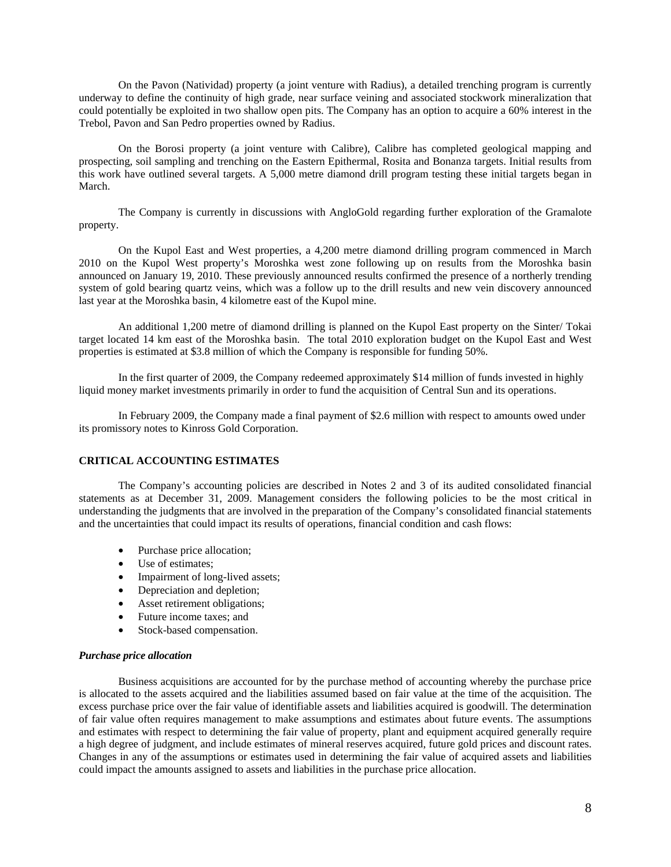On the Pavon (Natividad) property (a joint venture with Radius), a detailed trenching program is currently underway to define the continuity of high grade, near surface veining and associated stockwork mineralization that could potentially be exploited in two shallow open pits. The Company has an option to acquire a 60% interest in the Trebol, Pavon and San Pedro properties owned by Radius.

On the Borosi property (a joint venture with Calibre), Calibre has completed geological mapping and prospecting, soil sampling and trenching on the Eastern Epithermal, Rosita and Bonanza targets. Initial results from this work have outlined several targets. A 5,000 metre diamond drill program testing these initial targets began in March.

The Company is currently in discussions with AngloGold regarding further exploration of the Gramalote property.

On the Kupol East and West properties, a 4,200 metre diamond drilling program commenced in March 2010 on the Kupol West property's Moroshka west zone following up on results from the Moroshka basin announced on January 19, 2010. These previously announced results confirmed the presence of a northerly trending system of gold bearing quartz veins, which was a follow up to the drill results and new vein discovery announced last year at the Moroshka basin, 4 kilometre east of the Kupol mine.

An additional 1,200 metre of diamond drilling is planned on the Kupol East property on the Sinter/ Tokai target located 14 km east of the Moroshka basin. The total 2010 exploration budget on the Kupol East and West properties is estimated at \$3.8 million of which the Company is responsible for funding 50%.

In the first quarter of 2009, the Company redeemed approximately \$14 million of funds invested in highly liquid money market investments primarily in order to fund the acquisition of Central Sun and its operations.

In February 2009, the Company made a final payment of \$2.6 million with respect to amounts owed under its promissory notes to Kinross Gold Corporation.

# **CRITICAL ACCOUNTING ESTIMATES**

The Company's accounting policies are described in Notes 2 and 3 of its audited consolidated financial statements as at December 31, 2009. Management considers the following policies to be the most critical in understanding the judgments that are involved in the preparation of the Company's consolidated financial statements and the uncertainties that could impact its results of operations, financial condition and cash flows:

- Purchase price allocation;
- Use of estimates:
- Impairment of long-lived assets;
- Depreciation and depletion;
- Asset retirement obligations;
- Future income taxes; and
- Stock-based compensation.

#### *Purchase price allocation*

Business acquisitions are accounted for by the purchase method of accounting whereby the purchase price is allocated to the assets acquired and the liabilities assumed based on fair value at the time of the acquisition. The excess purchase price over the fair value of identifiable assets and liabilities acquired is goodwill. The determination of fair value often requires management to make assumptions and estimates about future events. The assumptions and estimates with respect to determining the fair value of property, plant and equipment acquired generally require a high degree of judgment, and include estimates of mineral reserves acquired, future gold prices and discount rates. Changes in any of the assumptions or estimates used in determining the fair value of acquired assets and liabilities could impact the amounts assigned to assets and liabilities in the purchase price allocation.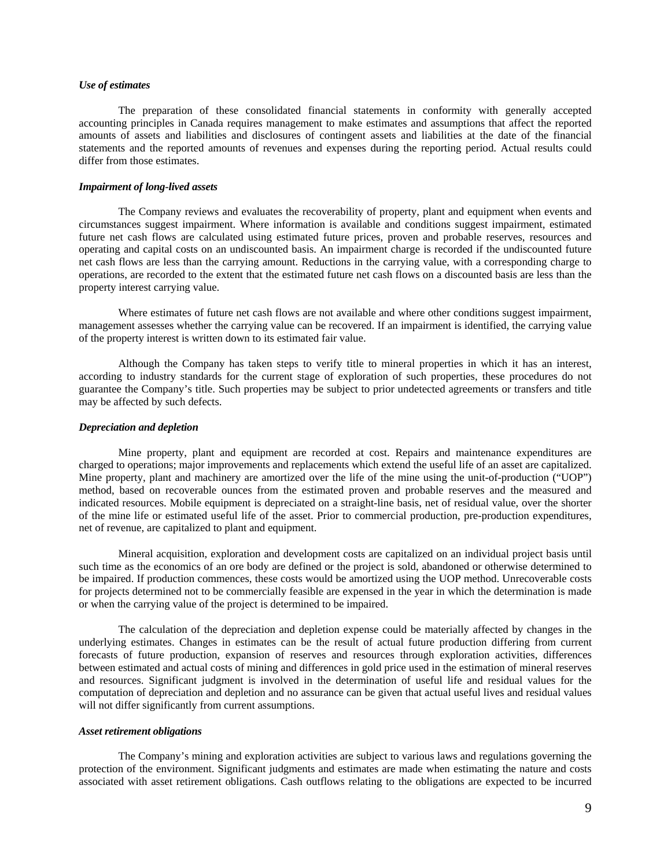# *Use of estimates*

The preparation of these consolidated financial statements in conformity with generally accepted accounting principles in Canada requires management to make estimates and assumptions that affect the reported amounts of assets and liabilities and disclosures of contingent assets and liabilities at the date of the financial statements and the reported amounts of revenues and expenses during the reporting period. Actual results could differ from those estimates.

#### *Impairment of long-lived assets*

The Company reviews and evaluates the recoverability of property, plant and equipment when events and circumstances suggest impairment. Where information is available and conditions suggest impairment, estimated future net cash flows are calculated using estimated future prices, proven and probable reserves, resources and operating and capital costs on an undiscounted basis. An impairment charge is recorded if the undiscounted future net cash flows are less than the carrying amount. Reductions in the carrying value, with a corresponding charge to operations, are recorded to the extent that the estimated future net cash flows on a discounted basis are less than the property interest carrying value.

Where estimates of future net cash flows are not available and where other conditions suggest impairment, management assesses whether the carrying value can be recovered. If an impairment is identified, the carrying value of the property interest is written down to its estimated fair value.

Although the Company has taken steps to verify title to mineral properties in which it has an interest, according to industry standards for the current stage of exploration of such properties, these procedures do not guarantee the Company's title. Such properties may be subject to prior undetected agreements or transfers and title may be affected by such defects.

#### *Depreciation and depletion*

Mine property, plant and equipment are recorded at cost. Repairs and maintenance expenditures are charged to operations; major improvements and replacements which extend the useful life of an asset are capitalized. Mine property, plant and machinery are amortized over the life of the mine using the unit-of-production ("UOP") method, based on recoverable ounces from the estimated proven and probable reserves and the measured and indicated resources. Mobile equipment is depreciated on a straight-line basis, net of residual value, over the shorter of the mine life or estimated useful life of the asset. Prior to commercial production, pre-production expenditures, net of revenue, are capitalized to plant and equipment.

Mineral acquisition, exploration and development costs are capitalized on an individual project basis until such time as the economics of an ore body are defined or the project is sold, abandoned or otherwise determined to be impaired. If production commences, these costs would be amortized using the UOP method. Unrecoverable costs for projects determined not to be commercially feasible are expensed in the year in which the determination is made or when the carrying value of the project is determined to be impaired.

The calculation of the depreciation and depletion expense could be materially affected by changes in the underlying estimates. Changes in estimates can be the result of actual future production differing from current forecasts of future production, expansion of reserves and resources through exploration activities, differences between estimated and actual costs of mining and differences in gold price used in the estimation of mineral reserves and resources. Significant judgment is involved in the determination of useful life and residual values for the computation of depreciation and depletion and no assurance can be given that actual useful lives and residual values will not differ significantly from current assumptions.

#### *Asset retirement obligations*

The Company's mining and exploration activities are subject to various laws and regulations governing the protection of the environment. Significant judgments and estimates are made when estimating the nature and costs associated with asset retirement obligations. Cash outflows relating to the obligations are expected to be incurred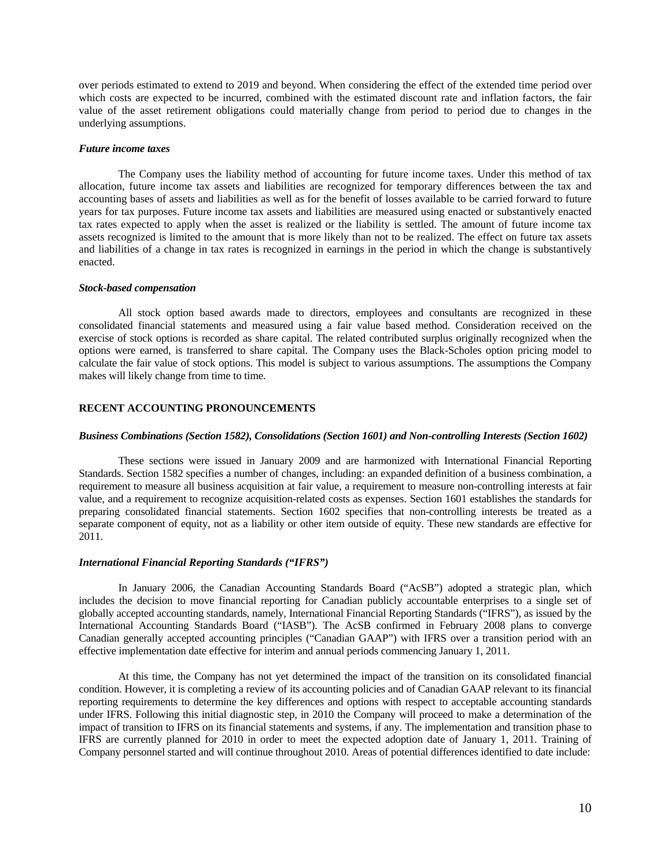over periods estimated to extend to 2019 and beyond. When considering the effect of the extended time period over which costs are expected to be incurred, combined with the estimated discount rate and inflation factors, the fair value of the asset retirement obligations could materially change from period to period due to changes in the underlying assumptions.

#### *Future income taxes*

The Company uses the liability method of accounting for future income taxes. Under this method of tax allocation, future income tax assets and liabilities are recognized for temporary differences between the tax and accounting bases of assets and liabilities as well as for the benefit of losses available to be carried forward to future years for tax purposes. Future income tax assets and liabilities are measured using enacted or substantively enacted tax rates expected to apply when the asset is realized or the liability is settled. The amount of future income tax assets recognized is limited to the amount that is more likely than not to be realized. The effect on future tax assets and liabilities of a change in tax rates is recognized in earnings in the period in which the change is substantively enacted.

#### *Stock-based compensation*

All stock option based awards made to directors, employees and consultants are recognized in these consolidated financial statements and measured using a fair value based method. Consideration received on the exercise of stock options is recorded as share capital. The related contributed surplus originally recognized when the options were earned, is transferred to share capital. The Company uses the Black-Scholes option pricing model to calculate the fair value of stock options. This model is subject to various assumptions. The assumptions the Company makes will likely change from time to time.

### **RECENT ACCOUNTING PRONOUNCEMENTS**

#### *Business Combinations (Section 1582), Consolidations (Section 1601) and Non-controlling Interests (Section 1602)*

These sections were issued in January 2009 and are harmonized with International Financial Reporting Standards. Section 1582 specifies a number of changes, including: an expanded definition of a business combination, a requirement to measure all business acquisition at fair value, a requirement to measure non-controlling interests at fair value, and a requirement to recognize acquisition-related costs as expenses. Section 1601 establishes the standards for preparing consolidated financial statements. Section 1602 specifies that non-controlling interests be treated as a separate component of equity, not as a liability or other item outside of equity. These new standards are effective for 2011.

# *International Financial Reporting Standards ("IFRS")*

In January 2006, the Canadian Accounting Standards Board ("AcSB") adopted a strategic plan, which includes the decision to move financial reporting for Canadian publicly accountable enterprises to a single set of globally accepted accounting standards, namely, International Financial Reporting Standards ("IFRS"), as issued by the International Accounting Standards Board ("IASB"). The AcSB confirmed in February 2008 plans to converge Canadian generally accepted accounting principles ("Canadian GAAP") with IFRS over a transition period with an effective implementation date effective for interim and annual periods commencing January 1, 2011.

At this time, the Company has not yet determined the impact of the transition on its consolidated financial condition. However, it is completing a review of its accounting policies and of Canadian GAAP relevant to its financial reporting requirements to determine the key differences and options with respect to acceptable accounting standards under IFRS. Following this initial diagnostic step, in 2010 the Company will proceed to make a determination of the impact of transition to IFRS on its financial statements and systems, if any. The implementation and transition phase to IFRS are currently planned for 2010 in order to meet the expected adoption date of January 1, 2011. Training of Company personnel started and will continue throughout 2010. Areas of potential differences identified to date include: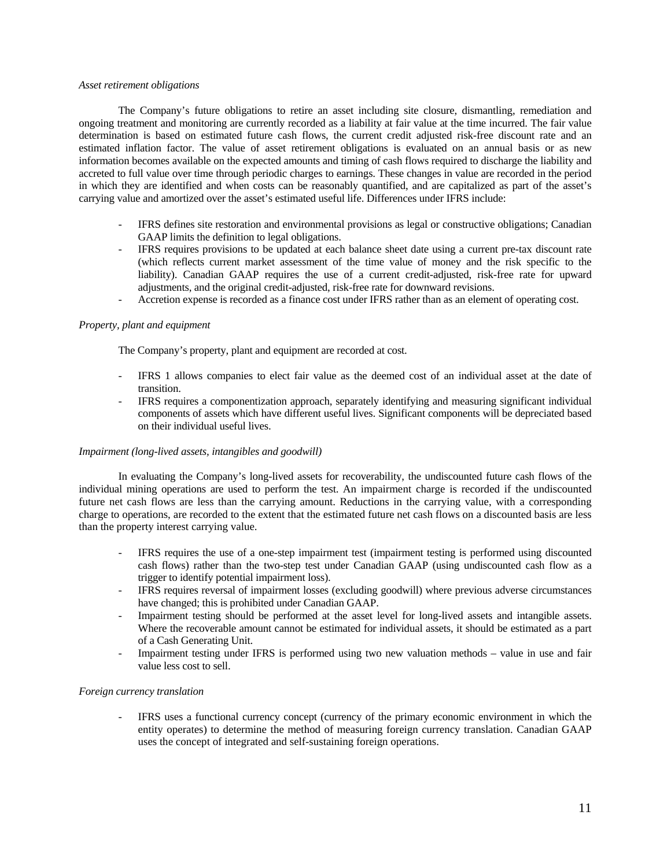#### *Asset retirement obligations*

The Company's future obligations to retire an asset including site closure, dismantling, remediation and ongoing treatment and monitoring are currently recorded as a liability at fair value at the time incurred. The fair value determination is based on estimated future cash flows, the current credit adjusted risk-free discount rate and an estimated inflation factor. The value of asset retirement obligations is evaluated on an annual basis or as new information becomes available on the expected amounts and timing of cash flows required to discharge the liability and accreted to full value over time through periodic charges to earnings. These changes in value are recorded in the period in which they are identified and when costs can be reasonably quantified, and are capitalized as part of the asset's carrying value and amortized over the asset's estimated useful life. Differences under IFRS include:

- IFRS defines site restoration and environmental provisions as legal or constructive obligations; Canadian GAAP limits the definition to legal obligations.
- IFRS requires provisions to be updated at each balance sheet date using a current pre-tax discount rate (which reflects current market assessment of the time value of money and the risk specific to the liability). Canadian GAAP requires the use of a current credit-adjusted, risk-free rate for upward adjustments, and the original credit-adjusted, risk-free rate for downward revisions.
- Accretion expense is recorded as a finance cost under IFRS rather than as an element of operating cost.

### *Property, plant and equipment*

The Company's property, plant and equipment are recorded at cost.

- IFRS 1 allows companies to elect fair value as the deemed cost of an individual asset at the date of transition.
- IFRS requires a componentization approach, separately identifying and measuring significant individual components of assets which have different useful lives. Significant components will be depreciated based on their individual useful lives.

### *Impairment (long-lived assets, intangibles and goodwill)*

In evaluating the Company's long-lived assets for recoverability, the undiscounted future cash flows of the individual mining operations are used to perform the test. An impairment charge is recorded if the undiscounted future net cash flows are less than the carrying amount. Reductions in the carrying value, with a corresponding charge to operations, are recorded to the extent that the estimated future net cash flows on a discounted basis are less than the property interest carrying value.

- IFRS requires the use of a one-step impairment test (impairment testing is performed using discounted cash flows) rather than the two-step test under Canadian GAAP (using undiscounted cash flow as a trigger to identify potential impairment loss).
- IFRS requires reversal of impairment losses (excluding goodwill) where previous adverse circumstances have changed; this is prohibited under Canadian GAAP.
- Impairment testing should be performed at the asset level for long-lived assets and intangible assets. Where the recoverable amount cannot be estimated for individual assets, it should be estimated as a part of a Cash Generating Unit.
- Impairment testing under IFRS is performed using two new valuation methods value in use and fair value less cost to sell.

### *Foreign currency translation*

- IFRS uses a functional currency concept (currency of the primary economic environment in which the entity operates) to determine the method of measuring foreign currency translation. Canadian GAAP uses the concept of integrated and self-sustaining foreign operations.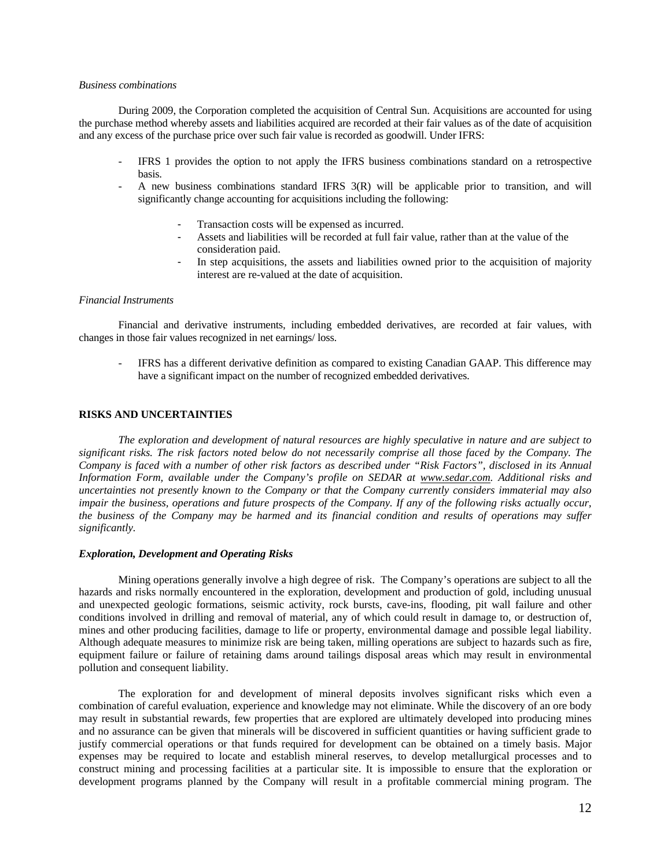### *Business combinations*

During 2009, the Corporation completed the acquisition of Central Sun. Acquisitions are accounted for using the purchase method whereby assets and liabilities acquired are recorded at their fair values as of the date of acquisition and any excess of the purchase price over such fair value is recorded as goodwill. Under IFRS:

- IFRS 1 provides the option to not apply the IFRS business combinations standard on a retrospective basis.
- A new business combinations standard IFRS 3(R) will be applicable prior to transition, and will significantly change accounting for acquisitions including the following:
	- Transaction costs will be expensed as incurred.
	- Assets and liabilities will be recorded at full fair value, rather than at the value of the consideration paid.
	- In step acquisitions, the assets and liabilities owned prior to the acquisition of majority interest are re-valued at the date of acquisition.

#### *Financial Instruments*

Financial and derivative instruments, including embedded derivatives, are recorded at fair values, with changes in those fair values recognized in net earnings/ loss.

IFRS has a different derivative definition as compared to existing Canadian GAAP. This difference may have a significant impact on the number of recognized embedded derivatives.

# **RISKS AND UNCERTAINTIES**

*The exploration and development of natural resources are highly speculative in nature and are subject to significant risks. The risk factors noted below do not necessarily comprise all those faced by the Company. The Company is faced with a number of other risk factors as described under "Risk Factors", disclosed in its Annual Information Form, available under the Company's profile on SEDAR at www.sedar.com. Additional risks and uncertainties not presently known to the Company or that the Company currently considers immaterial may also impair the business, operations and future prospects of the Company. If any of the following risks actually occur, the business of the Company may be harmed and its financial condition and results of operations may suffer significantly.* 

### *Exploration, Development and Operating Risks*

Mining operations generally involve a high degree of risk. The Company's operations are subject to all the hazards and risks normally encountered in the exploration, development and production of gold, including unusual and unexpected geologic formations, seismic activity, rock bursts, cave-ins, flooding, pit wall failure and other conditions involved in drilling and removal of material, any of which could result in damage to, or destruction of, mines and other producing facilities, damage to life or property, environmental damage and possible legal liability. Although adequate measures to minimize risk are being taken, milling operations are subject to hazards such as fire, equipment failure or failure of retaining dams around tailings disposal areas which may result in environmental pollution and consequent liability.

The exploration for and development of mineral deposits involves significant risks which even a combination of careful evaluation, experience and knowledge may not eliminate. While the discovery of an ore body may result in substantial rewards, few properties that are explored are ultimately developed into producing mines and no assurance can be given that minerals will be discovered in sufficient quantities or having sufficient grade to justify commercial operations or that funds required for development can be obtained on a timely basis. Major expenses may be required to locate and establish mineral reserves, to develop metallurgical processes and to construct mining and processing facilities at a particular site. It is impossible to ensure that the exploration or development programs planned by the Company will result in a profitable commercial mining program. The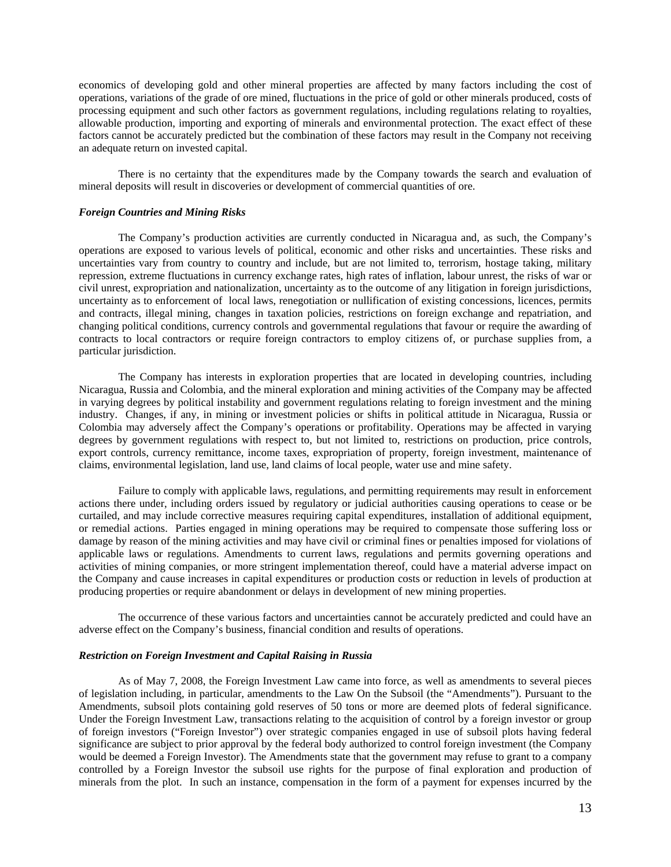economics of developing gold and other mineral properties are affected by many factors including the cost of operations, variations of the grade of ore mined, fluctuations in the price of gold or other minerals produced, costs of processing equipment and such other factors as government regulations, including regulations relating to royalties, allowable production, importing and exporting of minerals and environmental protection. The exact effect of these factors cannot be accurately predicted but the combination of these factors may result in the Company not receiving an adequate return on invested capital.

There is no certainty that the expenditures made by the Company towards the search and evaluation of mineral deposits will result in discoveries or development of commercial quantities of ore.

#### *Foreign Countries and Mining Risks*

The Company's production activities are currently conducted in Nicaragua and, as such, the Company's operations are exposed to various levels of political, economic and other risks and uncertainties. These risks and uncertainties vary from country to country and include, but are not limited to, terrorism, hostage taking, military repression, extreme fluctuations in currency exchange rates, high rates of inflation, labour unrest, the risks of war or civil unrest, expropriation and nationalization, uncertainty as to the outcome of any litigation in foreign jurisdictions, uncertainty as to enforcement of local laws, renegotiation or nullification of existing concessions, licences, permits and contracts, illegal mining, changes in taxation policies, restrictions on foreign exchange and repatriation, and changing political conditions, currency controls and governmental regulations that favour or require the awarding of contracts to local contractors or require foreign contractors to employ citizens of, or purchase supplies from, a particular jurisdiction.

The Company has interests in exploration properties that are located in developing countries, including Nicaragua, Russia and Colombia, and the mineral exploration and mining activities of the Company may be affected in varying degrees by political instability and government regulations relating to foreign investment and the mining industry. Changes, if any, in mining or investment policies or shifts in political attitude in Nicaragua, Russia or Colombia may adversely affect the Company's operations or profitability. Operations may be affected in varying degrees by government regulations with respect to, but not limited to, restrictions on production, price controls, export controls, currency remittance, income taxes, expropriation of property, foreign investment, maintenance of claims, environmental legislation, land use, land claims of local people, water use and mine safety.

Failure to comply with applicable laws, regulations, and permitting requirements may result in enforcement actions there under, including orders issued by regulatory or judicial authorities causing operations to cease or be curtailed, and may include corrective measures requiring capital expenditures, installation of additional equipment, or remedial actions. Parties engaged in mining operations may be required to compensate those suffering loss or damage by reason of the mining activities and may have civil or criminal fines or penalties imposed for violations of applicable laws or regulations. Amendments to current laws, regulations and permits governing operations and activities of mining companies, or more stringent implementation thereof, could have a material adverse impact on the Company and cause increases in capital expenditures or production costs or reduction in levels of production at producing properties or require abandonment or delays in development of new mining properties.

The occurrence of these various factors and uncertainties cannot be accurately predicted and could have an adverse effect on the Company's business, financial condition and results of operations.

# *Restriction on Foreign Investment and Capital Raising in Russia*

As of May 7, 2008, the Foreign Investment Law came into force, as well as amendments to several pieces of legislation including, in particular, amendments to the Law On the Subsoil (the "Amendments"). Pursuant to the Amendments, subsoil plots containing gold reserves of 50 tons or more are deemed plots of federal significance. Under the Foreign Investment Law, transactions relating to the acquisition of control by a foreign investor or group of foreign investors ("Foreign Investor") over strategic companies engaged in use of subsoil plots having federal significance are subject to prior approval by the federal body authorized to control foreign investment (the Company would be deemed a Foreign Investor). The Amendments state that the government may refuse to grant to a company controlled by a Foreign Investor the subsoil use rights for the purpose of final exploration and production of minerals from the plot. In such an instance, compensation in the form of a payment for expenses incurred by the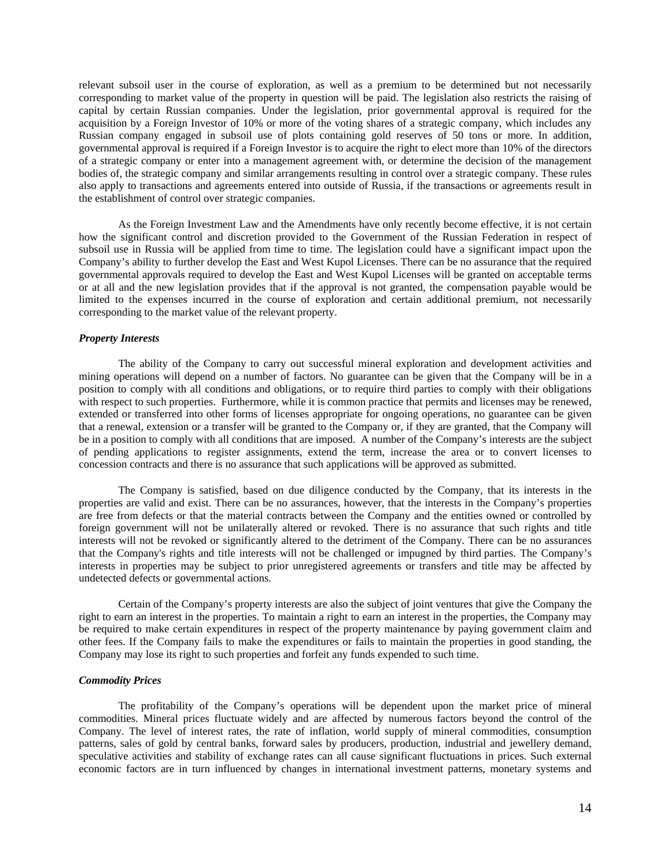relevant subsoil user in the course of exploration, as well as a premium to be determined but not necessarily corresponding to market value of the property in question will be paid. The legislation also restricts the raising of capital by certain Russian companies. Under the legislation, prior governmental approval is required for the acquisition by a Foreign Investor of 10% or more of the voting shares of a strategic company, which includes any Russian company engaged in subsoil use of plots containing gold reserves of 50 tons or more. In addition, governmental approval is required if a Foreign Investor is to acquire the right to elect more than 10% of the directors of a strategic company or enter into a management agreement with, or determine the decision of the management bodies of, the strategic company and similar arrangements resulting in control over a strategic company. These rules also apply to transactions and agreements entered into outside of Russia, if the transactions or agreements result in the establishment of control over strategic companies.

As the Foreign Investment Law and the Amendments have only recently become effective, it is not certain how the significant control and discretion provided to the Government of the Russian Federation in respect of subsoil use in Russia will be applied from time to time. The legislation could have a significant impact upon the Company's ability to further develop the East and West Kupol Licenses. There can be no assurance that the required governmental approvals required to develop the East and West Kupol Licenses will be granted on acceptable terms or at all and the new legislation provides that if the approval is not granted, the compensation payable would be limited to the expenses incurred in the course of exploration and certain additional premium, not necessarily corresponding to the market value of the relevant property.

#### *Property Interests*

The ability of the Company to carry out successful mineral exploration and development activities and mining operations will depend on a number of factors. No guarantee can be given that the Company will be in a position to comply with all conditions and obligations, or to require third parties to comply with their obligations with respect to such properties. Furthermore, while it is common practice that permits and licenses may be renewed, extended or transferred into other forms of licenses appropriate for ongoing operations, no guarantee can be given that a renewal, extension or a transfer will be granted to the Company or, if they are granted, that the Company will be in a position to comply with all conditions that are imposed. A number of the Company's interests are the subject of pending applications to register assignments, extend the term, increase the area or to convert licenses to concession contracts and there is no assurance that such applications will be approved as submitted.

The Company is satisfied, based on due diligence conducted by the Company, that its interests in the properties are valid and exist. There can be no assurances, however, that the interests in the Company's properties are free from defects or that the material contracts between the Company and the entities owned or controlled by foreign government will not be unilaterally altered or revoked. There is no assurance that such rights and title interests will not be revoked or significantly altered to the detriment of the Company. There can be no assurances that the Company's rights and title interests will not be challenged or impugned by third parties. The Company's interests in properties may be subject to prior unregistered agreements or transfers and title may be affected by undetected defects or governmental actions.

Certain of the Company's property interests are also the subject of joint ventures that give the Company the right to earn an interest in the properties. To maintain a right to earn an interest in the properties, the Company may be required to make certain expenditures in respect of the property maintenance by paying government claim and other fees. If the Company fails to make the expenditures or fails to maintain the properties in good standing, the Company may lose its right to such properties and forfeit any funds expended to such time.

### *Commodity Prices*

The profitability of the Company's operations will be dependent upon the market price of mineral commodities. Mineral prices fluctuate widely and are affected by numerous factors beyond the control of the Company. The level of interest rates, the rate of inflation, world supply of mineral commodities, consumption patterns, sales of gold by central banks, forward sales by producers, production, industrial and jewellery demand, speculative activities and stability of exchange rates can all cause significant fluctuations in prices. Such external economic factors are in turn influenced by changes in international investment patterns, monetary systems and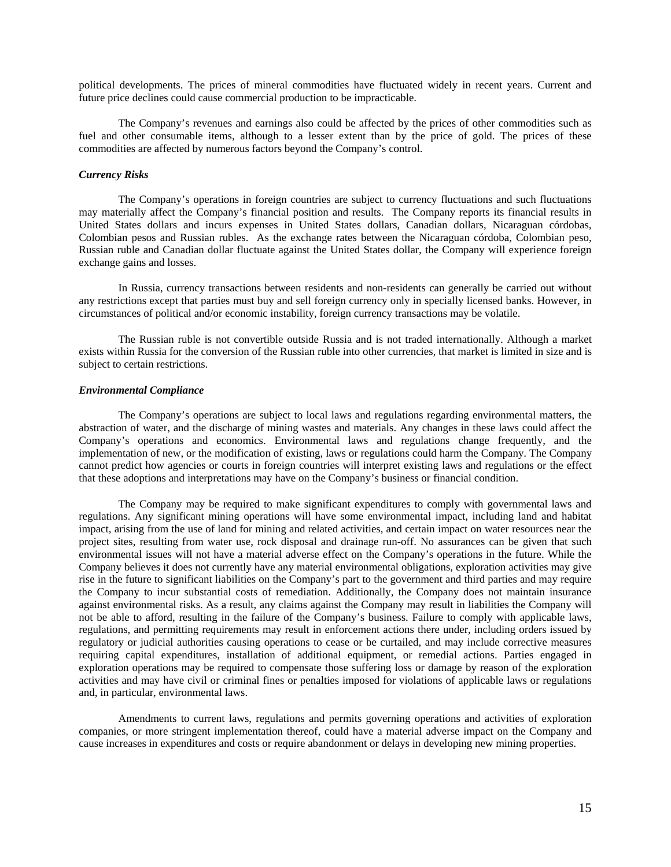political developments. The prices of mineral commodities have fluctuated widely in recent years. Current and future price declines could cause commercial production to be impracticable.

The Company's revenues and earnings also could be affected by the prices of other commodities such as fuel and other consumable items, although to a lesser extent than by the price of gold. The prices of these commodities are affected by numerous factors beyond the Company's control.

# *Currency Risks*

The Company's operations in foreign countries are subject to currency fluctuations and such fluctuations may materially affect the Company's financial position and results. The Company reports its financial results in United States dollars and incurs expenses in United States dollars, Canadian dollars, Nicaraguan córdobas, Colombian pesos and Russian rubles. As the exchange rates between the Nicaraguan córdoba, Colombian peso, Russian ruble and Canadian dollar fluctuate against the United States dollar, the Company will experience foreign exchange gains and losses.

In Russia, currency transactions between residents and non-residents can generally be carried out without any restrictions except that parties must buy and sell foreign currency only in specially licensed banks. However, in circumstances of political and/or economic instability, foreign currency transactions may be volatile.

The Russian ruble is not convertible outside Russia and is not traded internationally. Although a market exists within Russia for the conversion of the Russian ruble into other currencies, that market is limited in size and is subject to certain restrictions.

### *Environmental Compliance*

The Company's operations are subject to local laws and regulations regarding environmental matters, the abstraction of water, and the discharge of mining wastes and materials. Any changes in these laws could affect the Company's operations and economics. Environmental laws and regulations change frequently, and the implementation of new, or the modification of existing, laws or regulations could harm the Company. The Company cannot predict how agencies or courts in foreign countries will interpret existing laws and regulations or the effect that these adoptions and interpretations may have on the Company's business or financial condition.

The Company may be required to make significant expenditures to comply with governmental laws and regulations. Any significant mining operations will have some environmental impact, including land and habitat impact, arising from the use of land for mining and related activities, and certain impact on water resources near the project sites, resulting from water use, rock disposal and drainage run-off. No assurances can be given that such environmental issues will not have a material adverse effect on the Company's operations in the future. While the Company believes it does not currently have any material environmental obligations, exploration activities may give rise in the future to significant liabilities on the Company's part to the government and third parties and may require the Company to incur substantial costs of remediation. Additionally, the Company does not maintain insurance against environmental risks. As a result, any claims against the Company may result in liabilities the Company will not be able to afford, resulting in the failure of the Company's business. Failure to comply with applicable laws, regulations, and permitting requirements may result in enforcement actions there under, including orders issued by regulatory or judicial authorities causing operations to cease or be curtailed, and may include corrective measures requiring capital expenditures, installation of additional equipment, or remedial actions. Parties engaged in exploration operations may be required to compensate those suffering loss or damage by reason of the exploration activities and may have civil or criminal fines or penalties imposed for violations of applicable laws or regulations and, in particular, environmental laws.

Amendments to current laws, regulations and permits governing operations and activities of exploration companies, or more stringent implementation thereof, could have a material adverse impact on the Company and cause increases in expenditures and costs or require abandonment or delays in developing new mining properties.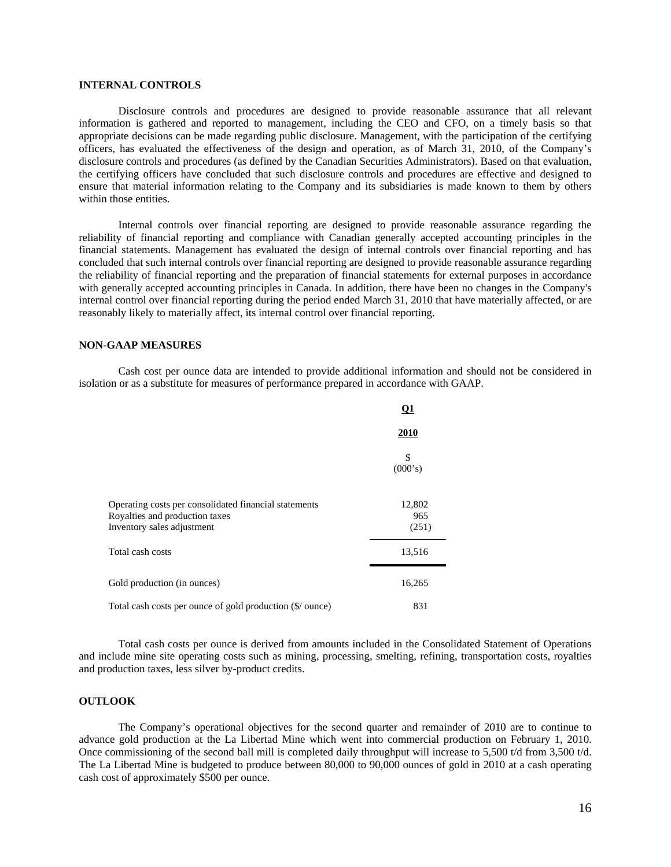# **INTERNAL CONTROLS**

Disclosure controls and procedures are designed to provide reasonable assurance that all relevant information is gathered and reported to management, including the CEO and CFO, on a timely basis so that appropriate decisions can be made regarding public disclosure. Management, with the participation of the certifying officers, has evaluated the effectiveness of the design and operation, as of March 31, 2010, of the Company's disclosure controls and procedures (as defined by the Canadian Securities Administrators). Based on that evaluation, the certifying officers have concluded that such disclosure controls and procedures are effective and designed to ensure that material information relating to the Company and its subsidiaries is made known to them by others within those entities.

Internal controls over financial reporting are designed to provide reasonable assurance regarding the reliability of financial reporting and compliance with Canadian generally accepted accounting principles in the financial statements. Management has evaluated the design of internal controls over financial reporting and has concluded that such internal controls over financial reporting are designed to provide reasonable assurance regarding the reliability of financial reporting and the preparation of financial statements for external purposes in accordance with generally accepted accounting principles in Canada. In addition, there have been no changes in the Company's internal control over financial reporting during the period ended March 31, 2010 that have materially affected, or are reasonably likely to materially affect, its internal control over financial reporting.

### **NON-GAAP MEASURES**

Cash cost per ounce data are intended to provide additional information and should not be considered in isolation or as a substitute for measures of performance prepared in accordance with GAAP.

|                                                                                                                       | <b>Q1</b>              |
|-----------------------------------------------------------------------------------------------------------------------|------------------------|
|                                                                                                                       | <u>2010</u>            |
|                                                                                                                       | \$<br>(000's)          |
| Operating costs per consolidated financial statements<br>Royalties and production taxes<br>Inventory sales adjustment | 12,802<br>965<br>(251) |
| Total cash costs                                                                                                      | 13,516                 |
| Gold production (in ounces)                                                                                           | 16,265                 |
| Total cash costs per ounce of gold production (\$/ ounce)                                                             | 831                    |

Total cash costs per ounce is derived from amounts included in the Consolidated Statement of Operations and include mine site operating costs such as mining, processing, smelting, refining, transportation costs, royalties and production taxes, less silver by-product credits.

### **OUTLOOK**

The Company's operational objectives for the second quarter and remainder of 2010 are to continue to advance gold production at the La Libertad Mine which went into commercial production on February 1, 2010. Once commissioning of the second ball mill is completed daily throughput will increase to 5,500 t/d from 3,500 t/d. The La Libertad Mine is budgeted to produce between 80,000 to 90,000 ounces of gold in 2010 at a cash operating cash cost of approximately \$500 per ounce.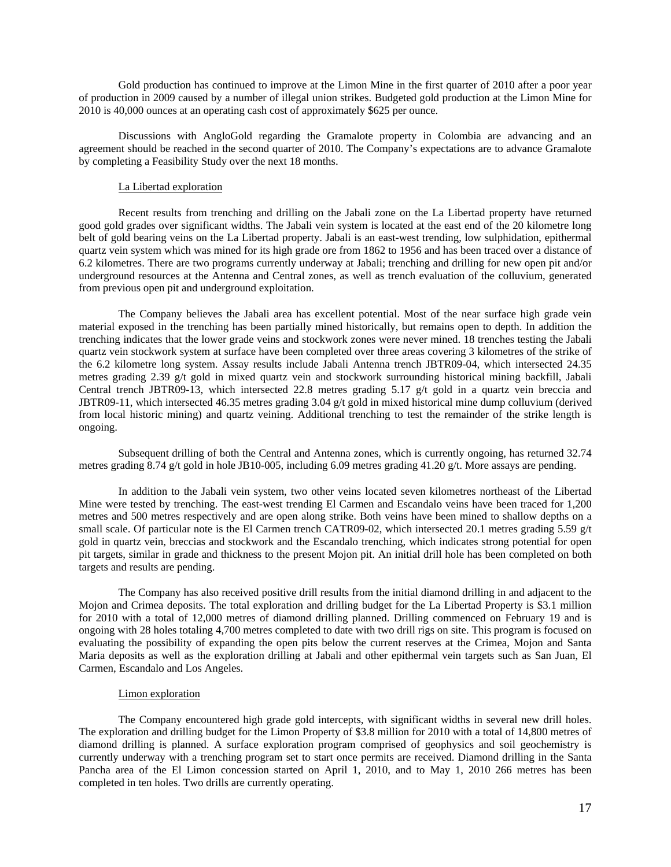Gold production has continued to improve at the Limon Mine in the first quarter of 2010 after a poor year of production in 2009 caused by a number of illegal union strikes. Budgeted gold production at the Limon Mine for 2010 is 40,000 ounces at an operating cash cost of approximately \$625 per ounce.

Discussions with AngloGold regarding the Gramalote property in Colombia are advancing and an agreement should be reached in the second quarter of 2010. The Company's expectations are to advance Gramalote by completing a Feasibility Study over the next 18 months.

# La Libertad exploration

Recent results from trenching and drilling on the Jabali zone on the La Libertad property have returned good gold grades over significant widths. The Jabali vein system is located at the east end of the 20 kilometre long belt of gold bearing veins on the La Libertad property. Jabali is an east-west trending, low sulphidation, epithermal quartz vein system which was mined for its high grade ore from 1862 to 1956 and has been traced over a distance of 6.2 kilometres. There are two programs currently underway at Jabali; trenching and drilling for new open pit and/or underground resources at the Antenna and Central zones, as well as trench evaluation of the colluvium, generated from previous open pit and underground exploitation.

The Company believes the Jabali area has excellent potential. Most of the near surface high grade vein material exposed in the trenching has been partially mined historically, but remains open to depth. In addition the trenching indicates that the lower grade veins and stockwork zones were never mined. 18 trenches testing the Jabali quartz vein stockwork system at surface have been completed over three areas covering 3 kilometres of the strike of the 6.2 kilometre long system. Assay results include Jabali Antenna trench JBTR09-04, which intersected 24.35 metres grading 2.39 g/t gold in mixed quartz vein and stockwork surrounding historical mining backfill, Jabali Central trench JBTR09-13, which intersected 22.8 metres grading 5.17  $g/t$  gold in a quartz vein breccia and JBTR09-11, which intersected 46.35 metres grading 3.04 g/t gold in mixed historical mine dump colluvium (derived from local historic mining) and quartz veining. Additional trenching to test the remainder of the strike length is ongoing.

Subsequent drilling of both the Central and Antenna zones, which is currently ongoing, has returned 32.74 metres grading 8.74 g/t gold in hole JB10-005, including 6.09 metres grading 41.20 g/t. More assays are pending.

In addition to the Jabali vein system, two other veins located seven kilometres northeast of the Libertad Mine were tested by trenching. The east-west trending El Carmen and Escandalo veins have been traced for 1,200 metres and 500 metres respectively and are open along strike. Both veins have been mined to shallow depths on a small scale. Of particular note is the El Carmen trench CATR09-02, which intersected 20.1 metres grading 5.59 g/t gold in quartz vein, breccias and stockwork and the Escandalo trenching, which indicates strong potential for open pit targets, similar in grade and thickness to the present Mojon pit. An initial drill hole has been completed on both targets and results are pending.

The Company has also received positive drill results from the initial diamond drilling in and adjacent to the Mojon and Crimea deposits. The total exploration and drilling budget for the La Libertad Property is \$3.1 million for 2010 with a total of 12,000 metres of diamond drilling planned. Drilling commenced on February 19 and is ongoing with 28 holes totaling 4,700 metres completed to date with two drill rigs on site. This program is focused on evaluating the possibility of expanding the open pits below the current reserves at the Crimea, Mojon and Santa Maria deposits as well as the exploration drilling at Jabali and other epithermal vein targets such as San Juan, El Carmen, Escandalo and Los Angeles.

# Limon exploration

The Company encountered high grade gold intercepts, with significant widths in several new drill holes. The exploration and drilling budget for the Limon Property of \$3.8 million for 2010 with a total of 14,800 metres of diamond drilling is planned. A surface exploration program comprised of geophysics and soil geochemistry is currently underway with a trenching program set to start once permits are received. Diamond drilling in the Santa Pancha area of the El Limon concession started on April 1, 2010, and to May 1, 2010 266 metres has been completed in ten holes. Two drills are currently operating.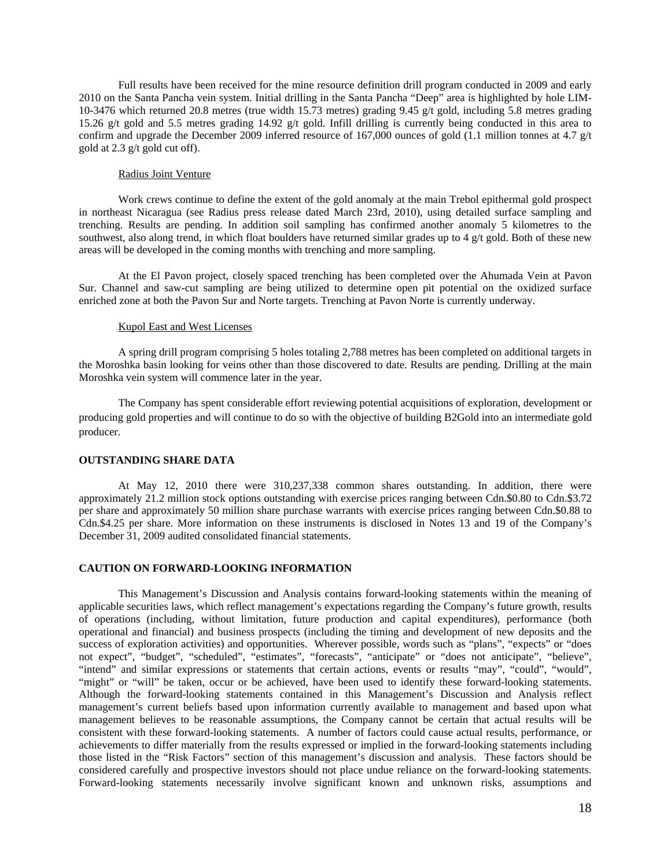Full results have been received for the mine resource definition drill program conducted in 2009 and early 2010 on the Santa Pancha vein system. Initial drilling in the Santa Pancha "Deep" area is highlighted by hole LIM-10-3476 which returned 20.8 metres (true width 15.73 metres) grading 9.45 g/t gold, including 5.8 metres grading 15.26 g/t gold and 5.5 metres grading 14.92 g/t gold. Infill drilling is currently being conducted in this area to confirm and upgrade the December 2009 inferred resource of 167,000 ounces of gold (1.1 million tonnes at 4.7 g/t gold at 2.3 g/t gold cut off).

# Radius Joint Venture

Work crews continue to define the extent of the gold anomaly at the main Trebol epithermal gold prospect in northeast Nicaragua (see Radius press release dated March 23rd, 2010), using detailed surface sampling and trenching. Results are pending. In addition soil sampling has confirmed another anomaly 5 kilometres to the southwest, also along trend, in which float boulders have returned similar grades up to 4  $g/t$  gold. Both of these new areas will be developed in the coming months with trenching and more sampling.

At the El Pavon project, closely spaced trenching has been completed over the Ahumada Vein at Pavon Sur. Channel and saw-cut sampling are being utilized to determine open pit potential on the oxidized surface enriched zone at both the Pavon Sur and Norte targets. Trenching at Pavon Norte is currently underway.

### Kupol East and West Licenses

A spring drill program comprising 5 holes totaling 2,788 metres has been completed on additional targets in the Moroshka basin looking for veins other than those discovered to date. Results are pending. Drilling at the main Moroshka vein system will commence later in the year.

The Company has spent considerable effort reviewing potential acquisitions of exploration, development or producing gold properties and will continue to do so with the objective of building B2Gold into an intermediate gold producer.

# **OUTSTANDING SHARE DATA**

At May 12, 2010 there were 310,237,338 common shares outstanding. In addition, there were approximately 21.2 million stock options outstanding with exercise prices ranging between Cdn.\$0.80 to Cdn.\$3.72 per share and approximately 50 million share purchase warrants with exercise prices ranging between Cdn.\$0.88 to Cdn.\$4.25 per share. More information on these instruments is disclosed in Notes 13 and 19 of the Company's December 31, 2009 audited consolidated financial statements.

# **CAUTION ON FORWARD-LOOKING INFORMATION**

This Management's Discussion and Analysis contains forward-looking statements within the meaning of applicable securities laws, which reflect management's expectations regarding the Company's future growth, results of operations (including, without limitation, future production and capital expenditures), performance (both operational and financial) and business prospects (including the timing and development of new deposits and the success of exploration activities) and opportunities. Wherever possible, words such as "plans", "expects" or "does not expect", "budget", "scheduled", "estimates", "forecasts", "anticipate" or "does not anticipate", "believe", "intend" and similar expressions or statements that certain actions, events or results "may", "could", "would", "might" or "will" be taken, occur or be achieved, have been used to identify these forward-looking statements. Although the forward-looking statements contained in this Management's Discussion and Analysis reflect management's current beliefs based upon information currently available to management and based upon what management believes to be reasonable assumptions, the Company cannot be certain that actual results will be consistent with these forward-looking statements. A number of factors could cause actual results, performance, or achievements to differ materially from the results expressed or implied in the forward-looking statements including those listed in the "Risk Factors" section of this management's discussion and analysis. These factors should be considered carefully and prospective investors should not place undue reliance on the forward-looking statements. Forward-looking statements necessarily involve significant known and unknown risks, assumptions and